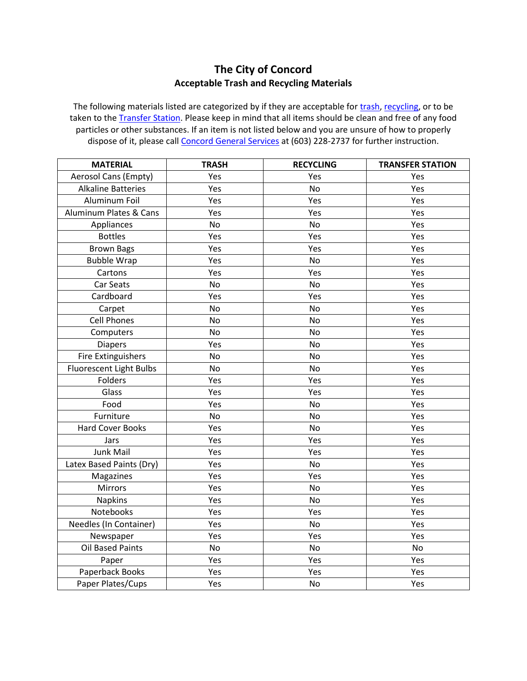## **The City of Concord Acceptable Trash and Recycling Materials**

The following materials listed are categorized by if they are acceptable for [trash,](http://concordnh.gov/trash) [recycling,](http://concordnh.gov/recycling) or to be taken to the [Transfer Station.](http://concordnh.gov/transferstation) Please keep in mind that all items should be clean and free of any food particles or other substances. If an item is not listed below and you are unsure of how to properly dispose of it, please call **Concord General Services** at (603) 228-2737 for further instruction.

| <b>MATERIAL</b>           | <b>TRASH</b> | <b>RECYCLING</b> | <b>TRANSFER STATION</b> |
|---------------------------|--------------|------------------|-------------------------|
| Aerosol Cans (Empty)      | Yes          | Yes              | Yes                     |
| <b>Alkaline Batteries</b> | Yes          | No               | Yes                     |
| Aluminum Foil             | Yes          | Yes              | Yes                     |
| Aluminum Plates & Cans    | Yes          | Yes              | Yes                     |
| Appliances                | No           | No               | Yes                     |
| <b>Bottles</b>            | Yes          | Yes              | Yes                     |
| <b>Brown Bags</b>         | Yes          | Yes              | Yes                     |
| <b>Bubble Wrap</b>        | Yes          | <b>No</b>        | Yes                     |
| Cartons                   | Yes          | Yes              | Yes                     |
| Car Seats                 | No           | <b>No</b>        | Yes                     |
| Cardboard                 | Yes          | Yes              | Yes                     |
| Carpet                    | No           | <b>No</b>        | Yes                     |
| <b>Cell Phones</b>        | No           | No               | Yes                     |
| Computers                 | No           | No               | Yes                     |
| <b>Diapers</b>            | Yes          | No               | Yes                     |
| <b>Fire Extinguishers</b> | No           | No               | Yes                     |
| Fluorescent Light Bulbs   | No           | No               | Yes                     |
| Folders                   | Yes          | Yes              | Yes                     |
| Glass                     | Yes          | Yes              | Yes                     |
| Food                      | Yes          | No               | Yes                     |
| Furniture                 | No           | No               | Yes                     |
| <b>Hard Cover Books</b>   | Yes          | No               | Yes                     |
| Jars                      | Yes          | Yes              | Yes                     |
| Junk Mail                 | Yes          | Yes              | Yes                     |
| Latex Based Paints (Dry)  | Yes          | No               | Yes                     |
| Magazines                 | Yes          | Yes              | Yes                     |
| <b>Mirrors</b>            | Yes          | <b>No</b>        | Yes                     |
| <b>Napkins</b>            | Yes          | <b>No</b>        | Yes                     |
| Notebooks                 | Yes          | Yes              | Yes                     |
| Needles (In Container)    | Yes          | No               | Yes                     |
| Newspaper                 | Yes          | Yes              | Yes                     |
| <b>Oil Based Paints</b>   | No           | No               | <b>No</b>               |
| Paper                     | Yes          | Yes              | Yes                     |
| Paperback Books           | Yes          | Yes              | Yes                     |
| Paper Plates/Cups         | Yes          | No               | Yes                     |